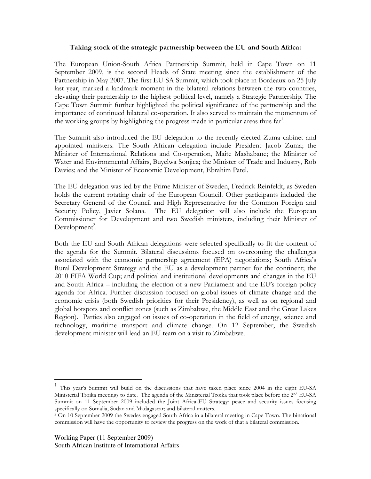#### Taking stock of the strategic partnership between the EU and South Africa:

The European Union-South Africa Partnership Summit, held in Cape Town on 11 September 2009, is the second Heads of State meeting since the establishment of the Partnership in May 2007. The first EU-SA Summit, which took place in Bordeaux on 25 July last year, marked a landmark moment in the bilateral relations between the two countries, elevating their partnership to the highest political level, namely a Strategic Partnership. The Cape Town Summit further highlighted the political significance of the partnership and the importance of continued bilateral co-operation. It also served to maintain the momentum of the working groups by highlighting the progress made in particular areas thus far<sup>1</sup>.

The Summit also introduced the EU delegation to the recently elected Zuma cabinet and appointed ministers. The South African delegation include President Jacob Zuma; the Minister of International Relations and Co-operation, Maite Mashabane; the Minister of Water and Environmental Affairs, Buyelwa Sonjica; the Minister of Trade and Industry, Rob Davies; and the Minister of Economic Development, Ebrahim Patel.

The EU delegation was led by the Prime Minister of Sweden, Fredrick Reinfeldt, as Sweden holds the current rotating chair of the European Council. Other participants included the Secretary General of the Council and High Representative for the Common Foreign and Security Policy, Javier Solana. The EU delegation will also include the European Commissioner for Development and two Swedish ministers, including their Minister of Development<sup>2</sup>.

Both the EU and South African delegations were selected specifically to fit the content of the agenda for the Summit. Bilateral discussions focused on overcoming the challenges associated with the economic partnership agreement (EPA) negotiations; South Africa's Rural Development Strategy and the EU as a development partner for the continent; the 2010 FIFA World Cup; and political and institutional developments and changes in the EU and South Africa – including the election of a new Parliament and the EU's foreign policy agenda for Africa. Further discussion focused on global issues of climate change and the economic crisis (both Swedish priorities for their Presidency), as well as on regional and global hotspots and conflict zones (such as Zimbabwe, the Middle East and the Great Lakes Region). Parties also engaged on issues of co-operation in the field of energy, science and technology, maritime transport and climate change. On 12 September, the Swedish development minister will lead an EU team on a visit to Zimbabwe.

 1 This year's Summit will build on the discussions that have taken place since 2004 in the eight EU-SA Ministerial Troika meetings to date. The agenda of the Ministerial Troika that took place before the 2<sup>nd</sup> EU-SA Summit on 11 September 2009 included the Joint Africa-EU Strategy; peace and security issues focusing specifically on Somalia, Sudan and Madagascar; and bilateral matters.

<sup>2</sup> On 10 September 2009 the Swedes engaged South Africa in a bilateral meeting in Cape Town. The binational commission will have the opportunity to review the progress on the work of that a bilateral commission.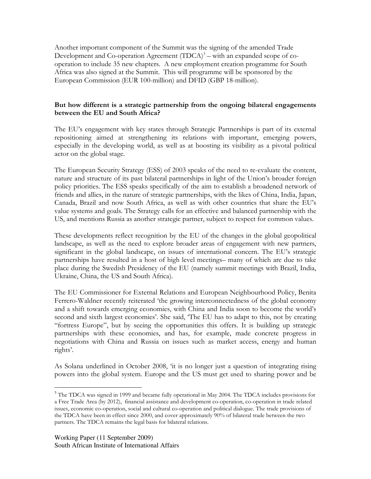Another important component of the Summit was the signing of the amended Trade Development and Co-operation Agreement  $(TDCA)^3$  – with an expanded scope of cooperation to include 35 new chapters. A new employment creation programme for South Africa was also signed at the Summit. This will programme will be sponsored by the European Commission (EUR 100-million) and DFID (GBP 18-million).

# But how different is a strategic partnership from the ongoing bilateral engagements between the EU and South Africa?

The EU's engagement with key states through Strategic Partnerships is part of its external repositioning aimed at strengthening its relations with important, emerging powers, especially in the developing world, as well as at boosting its visibility as a pivotal political actor on the global stage.

The European Security Strategy (ESS) of 2003 speaks of the need to re-evaluate the content, nature and structure of its past bilateral partnerships in light of the Union's broader foreign policy priorities. The ESS speaks specifically of the aim to establish a broadened network of friends and allies, in the nature of strategic partnerships, with the likes of China, India, Japan, Canada, Brazil and now South Africa, as well as with other countries that share the EU's value systems and goals. The Strategy calls for an effective and balanced partnership with the US, and mentions Russia as another strategic partner, subject to respect for common values.

These developments reflect recognition by the EU of the changes in the global geopolitical landscape, as well as the need to explore broader areas of engagement with new partners, significant in the global landscape, on issues of international concern. The EU's strategic partnerships have resulted in a host of high level meetings– many of which are due to take place during the Swedish Presidency of the EU (namely summit meetings with Brazil, India, Ukraine, China, the US and South Africa).

The EU Commissioner for External Relations and European Neighbourhood Policy, Benita Ferrero-Waldner recently reiterated 'the growing interconnectedness of the global economy and a shift towards emerging economies, with China and India soon to become the world's second and sixth largest economies'. She said, 'The EU has to adapt to this, not by creating "fortress Europe", but by seeing the opportunities this offers. It is building up strategic partnerships with these economies, and has, for example, made concrete progress in negotiations with China and Russia on issues such as market access, energy and human rights'.

As Solana underlined in October 2008, 'it is no longer just a question of integrating rising powers into the global system. Europe and the US must get used to sharing power and be

 $\overline{a}$ 

<sup>&</sup>lt;sup>3</sup> The TDCA was signed in 1999 and became fully operational in May 2004. The TDCA includes provisions for a Free Trade Area (by 2012), financial assistance and development co-operation, co-operation in trade related issues, economic co-operation, social and cultural co-operation and political dialogue. The trade provisions of the TDCA have been in effect since 2000, and cover approximately 90% of bilateral trade between the two partners. The TDCA remains the legal basis for bilateral relations.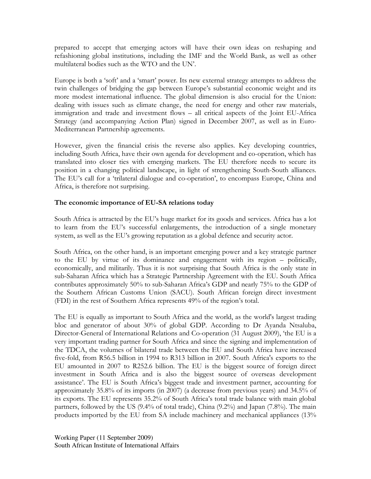prepared to accept that emerging actors will have their own ideas on reshaping and refashioning global institutions, including the IMF and the World Bank, as well as other multilateral bodies such as the WTO and the UN'.

Europe is both a 'soft' and a 'smart' power. Its new external strategy attempts to address the twin challenges of bridging the gap between Europe's substantial economic weight and its more modest international influence. The global dimension is also crucial for the Union: dealing with issues such as climate change, the need for energy and other raw materials, immigration and trade and investment flows – all critical aspects of the Joint EU-Africa Strategy (and accompanying Action Plan) signed in December 2007, as well as in Euro-Mediterranean Partnership agreements.

However, given the financial crisis the reverse also applies. Key developing countries, including South Africa, have their own agenda for development and co-operation, which has translated into closer ties with emerging markets. The EU therefore needs to secure its position in a changing political landscape, in light of strengthening South-South alliances. The EU's call for a 'trilateral dialogue and co-operation', to encompass Europe, China and Africa, is therefore not surprising.

#### The economic importance of EU-SA relations today

South Africa is attracted by the EU's huge market for its goods and services. Africa has a lot to learn from the EU's successful enlargements, the introduction of a single monetary system, as well as the EU's growing reputation as a global defence and security actor.

South Africa, on the other hand, is an important emerging power and a key strategic partner to the EU by virtue of its dominance and engagement with its region – politically, economically, and militarily. Thus it is not surprising that South Africa is the only state in sub-Saharan Africa which has a Strategic Partnership Agreement with the EU. South Africa contributes approximately 50% to sub-Saharan Africa's GDP and nearly 75% to the GDP of the Southern African Customs Union (SACU). South African foreign direct investment (FDI) in the rest of Southern Africa represents 49% of the region's total.

The EU is equally as important to South Africa and the world, as the world's largest trading bloc and generator of about 30% of global GDP. According to Dr Ayanda Ntsaluba, Director-General of International Relations and Co-operation (31 August 2009), 'the EU is a very important trading partner for South Africa and since the signing and implementation of the TDCA, the volumes of bilateral trade between the EU and South Africa have increased five-fold, from R56.5 billion in 1994 to R313 billion in 2007. South Africa's exports to the EU amounted in 2007 to R252.6 billion. The EU is the biggest source of foreign direct investment in South Africa and is also the biggest source of overseas development assistance'. The EU is South Africa's biggest trade and investment partner, accounting for approximately 35.8% of its imports (in 2007) (a decrease from previous years) and 34.5% of its exports. The EU represents 35.2% of South Africa's total trade balance with main global partners, followed by the US (9.4% of total trade), China (9.2%) and Japan (7.8%). The main products imported by the EU from SA include machinery and mechanical appliances (13%

Working Paper (11 September 2009) South African Institute of International Affairs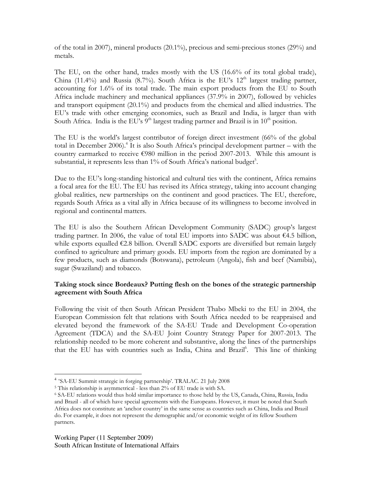of the total in 2007), mineral products (20.1%), precious and semi-precious stones (29%) and metals.

The EU, on the other hand, trades mostly with the US (16.6% of its total global trade), China (11.4%) and Russia (8.7%). South Africa is the EU's  $12<sup>th</sup>$  largest trading partner, accounting for 1.6% of its total trade. The main export products from the EU to South Africa include machinery and mechanical appliances (37.9% in 2007), followed by vehicles and transport equipment (20.1%) and products from the chemical and allied industries. The EU's trade with other emerging economies, such as Brazil and India, is larger than with South Africa. India is the EU's  $9<sup>th</sup>$  largest trading partner and Brazil is in  $10<sup>th</sup>$  position.

The EU is the world's largest contributor of foreign direct investment (66% of the global total in December 2006).<sup>4</sup> It is also South Africa's principal development partner – with the country earmarked to receive €980 million in the period 2007-2013. While this amount is substantial, it represents less than 1% of South Africa's national budget5.

Due to the EU's long-standing historical and cultural ties with the continent, Africa remains a focal area for the EU. The EU has revised its Africa strategy, taking into account changing global realities, new partnerships on the continent and good practices. The EU, therefore, regards South Africa as a vital ally in Africa because of its willingness to become involved in regional and continental matters.

The EU is also the Southern African Development Community (SADC) group's largest trading partner. In 2006, the value of total EU imports into SADC was about  $\epsilon$ 4.5 billion, while exports equalled  $\epsilon$ 2.8 billion. Overall SADC exports are diversified but remain largely confined to agriculture and primary goods. EU imports from the region are dominated by a few products, such as diamonds (Botswana), petroleum (Angola), fish and beef (Namibia), sugar (Swaziland) and tobacco.

# Taking stock since Bordeaux? Putting flesh on the bones of the strategic partnership agreement with South Africa

Following the visit of then South African President Thabo Mbeki to the EU in 2004, the European Commission felt that relations with South Africa needed to be reappraised and elevated beyond the framework of the SA-EU Trade and Development Co-operation Agreement (TDCA) and the SA-EU Joint Country Strategy Paper for 2007-2013. The relationship needed to be more coherent and substantive, along the lines of the partnerships that the EU has with countries such as India, China and Brazil<sup>6</sup>. This line of thinking

 $\overline{a}$ 

<sup>4</sup> 'SA-EU Summit strategic in forging partnership'. TRALAC. 21 July 2008

<sup>5</sup> This relationship is asymmetrical - less than 2% of EU trade is with SA.

<sup>6</sup> SA-EU relations would thus hold similar importance to those held by the US, Canada, China, Russia, India and Brazil - all of which have special agreements with the Europeans. However, it must be noted that South Africa does not constitute an 'anchor country' in the same sense as countries such as China, India and Brazil do. For example, it does not represent the demographic and/or economic weight of its fellow Southern partners.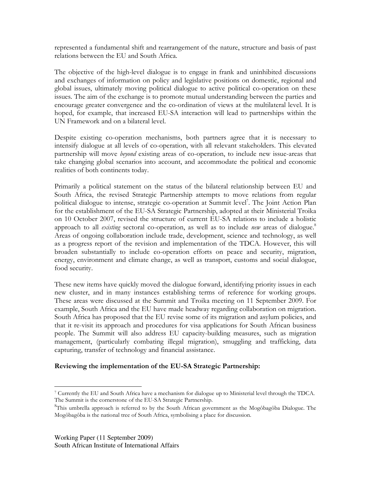represented a fundamental shift and rearrangement of the nature, structure and basis of past relations between the EU and South Africa.

The objective of the high-level dialogue is to engage in frank and uninhibited discussions and exchanges of information on policy and legislative positions on domestic, regional and global issues, ultimately moving political dialogue to active political co-operation on these issues. The aim of the exchange is to promote mutual understanding between the parties and encourage greater convergence and the co-ordination of views at the multilateral level. It is hoped, for example, that increased EU-SA interaction will lead to partnerships within the UN Framework and on a bilateral level.

Despite existing co-operation mechanisms, both partners agree that it is necessary to intensify dialogue at all levels of co-operation, with all relevant stakeholders. This elevated partnership will move *beyond* existing areas of co-operation, to include new issue-areas that take changing global scenarios into account, and accommodate the political and economic realities of both continents today.

Primarily a political statement on the status of the bilateral relationship between EU and South Africa, the revised Strategic Partnership attempts to move relations from regular political dialogue to intense, strategic co-operation at Summit level<sup>7</sup>. The Joint Action Plan for the establishment of the EU-SA Strategic Partnership, adopted at their Ministerial Troika on 10 October 2007, revised the structure of current EU-SA relations to include a holistic approach to all *existing* sectoral co-operation, as well as to include *new* areas of dialogue.<sup>8</sup> Areas of ongoing collaboration include trade, development, science and technology, as well as a progress report of the revision and implementation of the TDCA. However, this will broaden substantially to include co-operation efforts on peace and security, migration, energy, environment and climate change, as well as transport, customs and social dialogue, food security.

These new items have quickly moved the dialogue forward, identifying priority issues in each new cluster, and in many instances establishing terms of reference for working groups. These areas were discussed at the Summit and Troika meeting on 11 September 2009. For example, South Africa and the EU have made headway regarding collaboration on migration. South Africa has proposed that the EU revise some of its migration and asylum policies, and that it re-visit its approach and procedures for visa applications for South African business people. The Summit will also address EU capacity-building measures, such as migration management, (particularly combating illegal migration), smuggling and trafficking, data capturing, transfer of technology and financial assistance.

# Reviewing the implementation of the EU-SA Strategic Partnership:

 $\overline{a}$ 7 Currently the EU and South Africa have a mechanism for dialogue up to Ministerial level through the TDCA. The Summit is the cornerstone of the EU-SA Strategic Partnership.

<sup>8</sup> This umbrella approach is referred to by the South African government as the Mogôbagôba Dialogue. The Mogôbagôba is the national tree of South Africa, symbolising a place for discussion.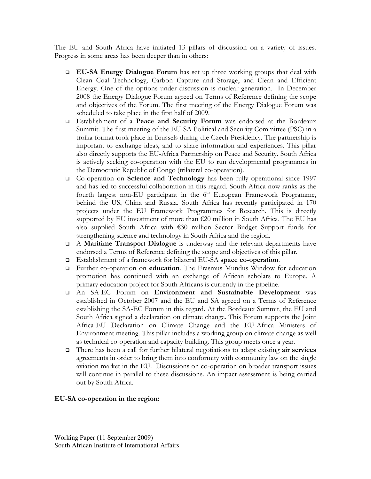The EU and South Africa have initiated 13 pillars of discussion on a variety of issues. Progress in some areas has been deeper than in others:

- EU-SA Energy Dialogue Forum has set up three working groups that deal with Clean Coal Technology, Carbon Capture and Storage, and Clean and Efficient Energy. One of the options under discussion is nuclear generation. In December 2008 the Energy Dialogue Forum agreed on Terms of Reference defining the scope and objectives of the Forum. The first meeting of the Energy Dialogue Forum was scheduled to take place in the first half of 2009.
- Establishment of a Peace and Security Forum was endorsed at the Bordeaux Summit. The first meeting of the EU-SA Political and Security Committee (PSC) in a troika format took place in Brussels during the Czech Presidency. The partnership is important to exchange ideas, and to share information and experiences. This pillar also directly supports the EU-Africa Partnership on Peace and Security. South Africa is actively seeking co-operation with the EU to run developmental programmes in the Democratic Republic of Congo (trilateral co-operation).
- Co-operation on Science and Technology has been fully operational since 1997 and has led to successful collaboration in this regard. South Africa now ranks as the fourth largest non-EU participant in the  $6<sup>th</sup>$  European Framework Programme, behind the US, China and Russia. South Africa has recently participated in 170 projects under the EU Framework Programmes for Research. This is directly supported by EU investment of more than €20 million in South Africa. The EU has also supplied South Africa with €30 million Sector Budget Support funds for strengthening science and technology in South Africa and the region.
- $\Box$  A **Maritime Transport Dialogue** is underway and the relevant departments have endorsed a Terms of Reference defining the scope and objectives of this pillar.
- Establishment of a framework for bilateral EU-SA space co-operation.
- Further co-operation on education. The Erasmus Mundus Window for education promotion has continued with an exchange of African scholars to Europe. A primary education project for South Africans is currently in the pipeline.
- An SA-EC Forum on Environment and Sustainable Development was established in October 2007 and the EU and SA agreed on a Terms of Reference establishing the SA-EC Forum in this regard. At the Bordeaux Summit, the EU and South Africa signed a declaration on climate change. This Forum supports the Joint Africa-EU Declaration on Climate Change and the EU-Africa Ministers of Environment meeting. This pillar includes a working group on climate change as well as technical co-operation and capacity building. This group meets once a year.
- $\Box$  There has been a call for further bilateral negotiations to adapt existing air services agreements in order to bring them into conformity with community law on the single aviation market in the EU. Discussions on co-operation on broader transport issues will continue in parallel to these discussions. An impact assessment is being carried out by South Africa.

# EU-SA co-operation in the region: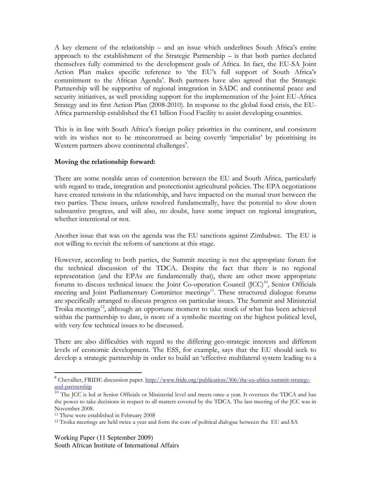A key element of the relationship – and an issue which underlines South Africa's entire approach to the establishment of the Strategic Partnership – is that both parties declared themselves fully committed to the development goals of Africa. In fact, the EU-SA Joint Action Plan makes specific reference to 'the EU's full support of South Africa's commitment to the African Agenda'. Both partners have also agreed that the Strategic Partnership will be supportive of regional integration in SADC and continental peace and security initiatives, as well providing support for the implementation of the Joint EU-Africa Strategy and its first Action Plan (2008-2010). In response to the global food crisis, the EU-Africa partnership established the €1 billion Food Facility to assist developing countries.

This is in line with South Africa's foreign policy priorities in the continent, and consistent with its wishes not to be misconstrued as being covertly 'imperialist' by prioritising its Western partners above continental challenges<sup>9</sup>.

#### Moving the relationship forward:

There are some notable areas of contention between the EU and South Africa, particularly with regard to trade, integration and protectionist agricultural policies. The EPA negotiations have created tensions in the relationship, and have impacted on the mutual trust between the two parties. These issues, unless resolved fundamentally, have the potential to slow down substantive progress, and will also, no doubt, have some impact on regional integration, whether intentional or not.

Another issue that was on the agenda was the EU sanctions against Zimbabwe. The EU is not willing to revisit the reform of sanctions at this stage.

However, according to both parties, the Summit meeting is not the appropriate forum for the technical discussion of the TDCA. Despite the fact that there is no regional representation (and the EPAs are fundamentally that), there are other more appropriate forums to discuss technical issues: the Joint Co-operation Council  $(ICC)^{10}$ , Senior Officials meeting and Joint Parliamentary Committee meetings<sup>11</sup>. These structured dialogue forums are specifically arranged to discuss progress on particular issues. The Summit and Ministerial Troika meetings<sup>12</sup>, although an opportune moment to take stock of what has been achieved within the partnership to date, is more of a symbolic meeting on the highest political level, with very few technical issues to be discussed.

There are also difficulties with regard to the differing geo-strategic interests and different levels of economic development. The ESS, for example, says that the EU should seek to develop a strategic partnership in order to build an 'effective multilateral system leading to a

 $\overline{a}$ 

Working Paper (11 September 2009)

South African Institute of International Affairs

<sup>&</sup>lt;sup>9</sup> Chevallier, FRIDE discussion paper. http://www.fride.org/publication/306/the-eu-africa-summit-strategyand-partnership

<sup>&</sup>lt;sup>10</sup> The JCC is led at Senior Officials or Ministerial level and meets once a year. It oversees the TDCA and has the power to take decisions in respect to all matters covered by the TDCA. The last meeting of the JCC was in November 2008.

<sup>&</sup>lt;sup>11</sup> These were established in February 2008

<sup>&</sup>lt;sup>12</sup> Troika meetings are held twice a year and form the core of political dialogue between the EU and SA